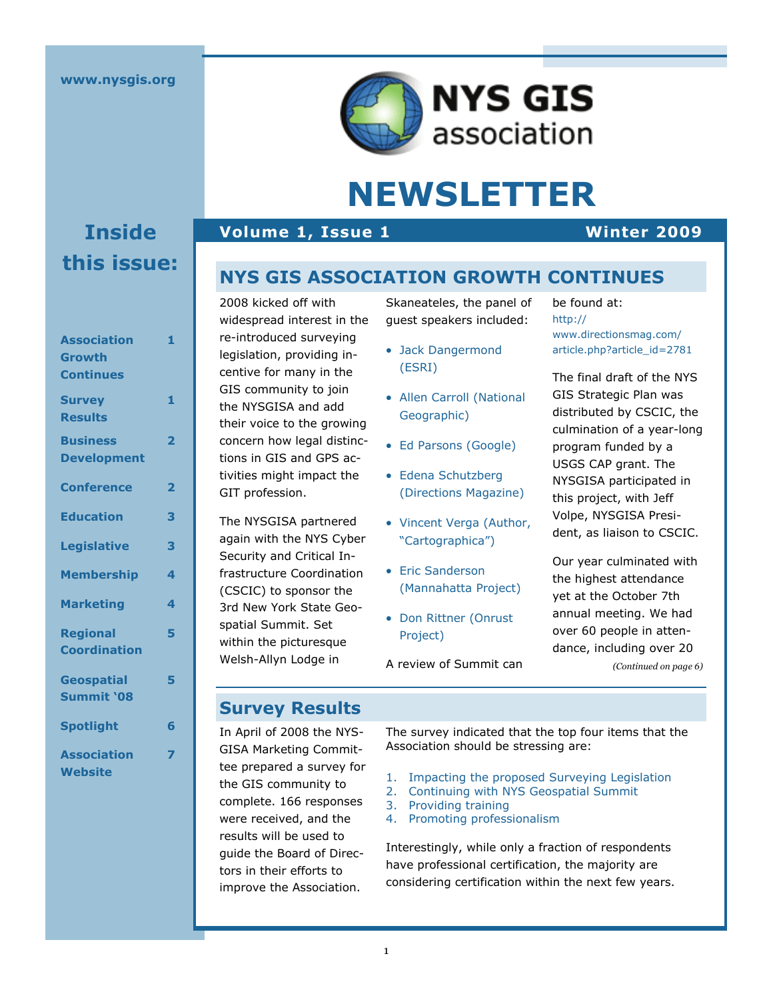

# **NEWSLETTER**

# **Inside this issue:**

| <b>Association</b><br>Growth           | 1                       |
|----------------------------------------|-------------------------|
| <b>Continues</b>                       |                         |
| <b>Survey</b><br><b>Results</b>        | 1                       |
| <b>Business</b><br><b>Development</b>  | $\overline{\mathbf{2}}$ |
| <b>Conference</b>                      | $\overline{\mathbf{2}}$ |
| <b>Education</b>                       | 3                       |
| <b>Legislative</b>                     | 3                       |
| <b>Membership</b>                      | 4                       |
| <b>Marketing</b>                       | 4                       |
| <b>Regional</b><br><b>Coordination</b> | 5                       |
| <b>Geospatial</b><br><b>Summit '08</b> | 5                       |
| <b>Spotlight</b>                       | 6                       |
| <b>Association</b><br><b>Website</b>   | 7                       |

### **Volume 1, Issue 1** Winter 2009

# **NYS GIS ASSOCIATION GROWTH CONTINUES**

2008 kicked off with widespread interest in the re-introduced surveying legislation, providing incentive for many in the GIS community to join the NYSGISA and add their voice to the growing concern how legal distinctions in GIS and GPS activities might impact the GIT profession.

The NYSGISA partnered again with the NYS Cyber Security and Critical Infrastructure Coordination (CSCIC) to sponsor the 3rd New York State Geospatial Summit. Set within the picturesque Welsh-Allyn Lodge in

Skaneateles, the panel of guest speakers included:

- Jack Dangermond (ESRI)
- Geographic) • Allen Carroll (National
- Ed Parsons (Google)
- Edena Schutzberg (Directions Magazine)
- Vincent Verga (Author, "Cartographica")
- Eric Sanderson (Mannahatta Project)
- Don Rittner (Onrust Project)

A review of Summit can

be found at: http:// www.directionsmag.com/ article.php?article\_id=2781

The final draft of the NYS GIS Strategic Plan was distributed by CSCIC, the culmination of a year-long program funded by a USGS CAP grant. The NYSGISA participated in this project, with Jeff Volpe, NYSGISA President, as liaison to CSCIC.

Our year culminated with the highest attendance yet at the October 7th annual meeting. We had over 60 people in attendance, including over 20 *(Continued on page 6)* 

# **Survey Results**

In April of 2008 the NYS-GISA Marketing Committee prepared a survey for the GIS community to complete. 166 responses were received, and the results will be used to guide the Board of Directors in their efforts to improve the Association.

The survey indicated that the top four items that the Association should be stressing are:

- 1. Impacting the proposed Surveying Legislation
- 2. Continuing with NYS Geospatial Summit
- 3. Providing training
- 4. Promoting professionalism

Interestingly, while only a fraction of respondents have professional certification, the majority are considering certification within the next few years.

1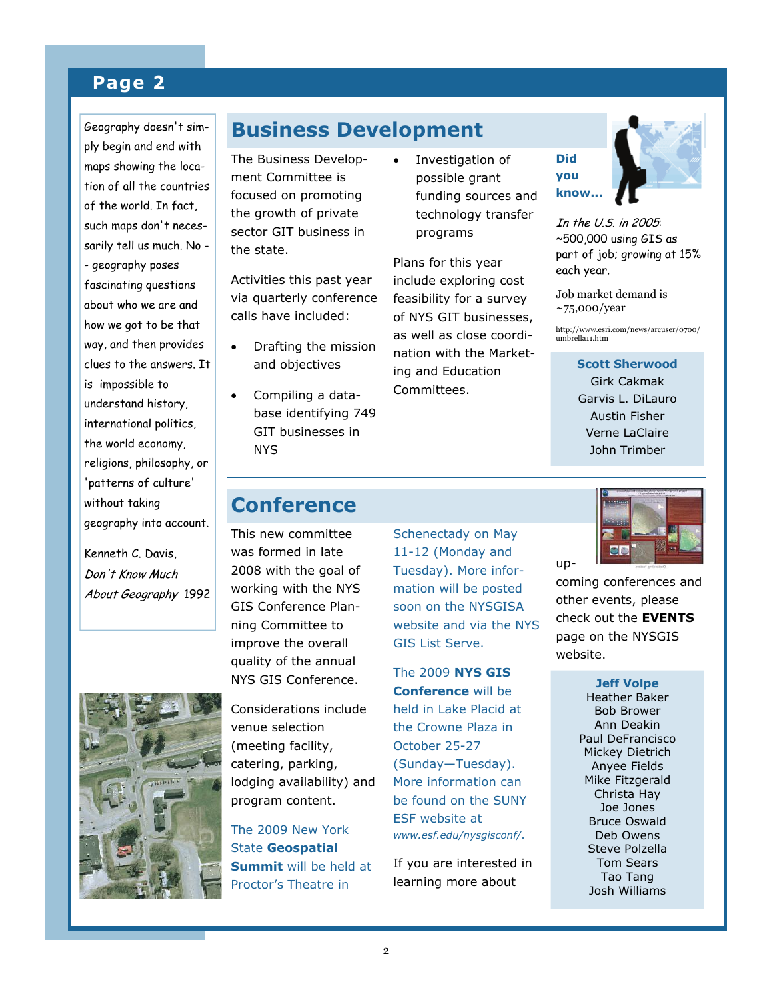## **Page 2**

ply begin and end with<br>maps showina the location of all the countries<br>of the world In fact such maps don't necessarily tell us much. No -  $\vert$ - geography poses fascinating questions about who we are and how we got to be that way, and then provides clues to the answers. It mpossible to understand history, international politics, • Promote religions, philosophy, or<br>. 'patterns of culture' without taking geography into account. Geography doesn't simmaps showing the locaof the world. In fact, is impossible to the world economy,

Kenneth C. Davis,  $u_1$  is  $u_2$  in Gis in the Gis in the Gis in the Gis in the Gis in the Gis in the Gis in the Gis in the Gis in the Gis in the Gis in the Gis in the Gis in the Gis in the Gis in the Gis in the Gis in the Gis in the Gis i Don't Know Much About Geography 1992

tion and other than the control of the control of the control of the control of the control of the control of the control of the control of the control of the control of the control of the control of the control of the con

# **Business Development**

The Business Development Committee is focused on promoting the growth of private sector GIT business in the state.

Activities this past year via quarterly conference calls have included:

- Drafting the mission and objectives
- Compiling a database identifying 749 GIT businesses in NYS

• Investigation of possible grant funding sources and technology transfer programs

Plans for this year include exploring cost feasibility for a survey of NYS GIT businesses, as well as close coordination with the Marketing and Education Committees.



In the U.S. in 2005:  $\sim$ 500,000 using GIS as part of job; growing at 15% each year.

Job market demand is ~75,000/year

http://www.esri.com/news/arcuser/0700/ umbrella11.htm

**Scott Sherwood**  Girk Cakmak Garvis L. DiLauro Austin Fisher Verne LaClaire John Trimber

# **Conference**

This new committee was formed in late 2008 with the goal of working with the NYS GIS Conference Planning Committee to improve the overall quality of the annual NYS GIS Conference.



Considerations include venue selection (meeting facility, catering, parking, lodging availability) and program content.

The 2009 New York State **Geospatial Summit** will be held at Proctor's Theatre in

Schenectady on May 11-12 (Monday and Tuesday). More information will be posted soon on the NYSGISA website and via the NYS GIS List Serve.

The 2009 **NYS GIS Conference** will be held in Lake Placid at the Crowne Plaza in October 25-27 (Sunday—Tuesday). More information can be found on the SUNY ESF website at *www.esf.edu/nysgisconf/*.

If you are interested in learning more about



coming conferences and other events, please check out the **EVENTS** page on the NYSGIS website.

up-

### **Jeff Volpe**

Heather Baker Bob Brower Ann Deakin Paul DeFrancisco Mickey Dietrich Anyee Fields Mike Fitzgerald Christa Hay Joe Jones Bruce Oswald Deb Owens Steve Polzella Tom Sears Tao Tang Josh Williams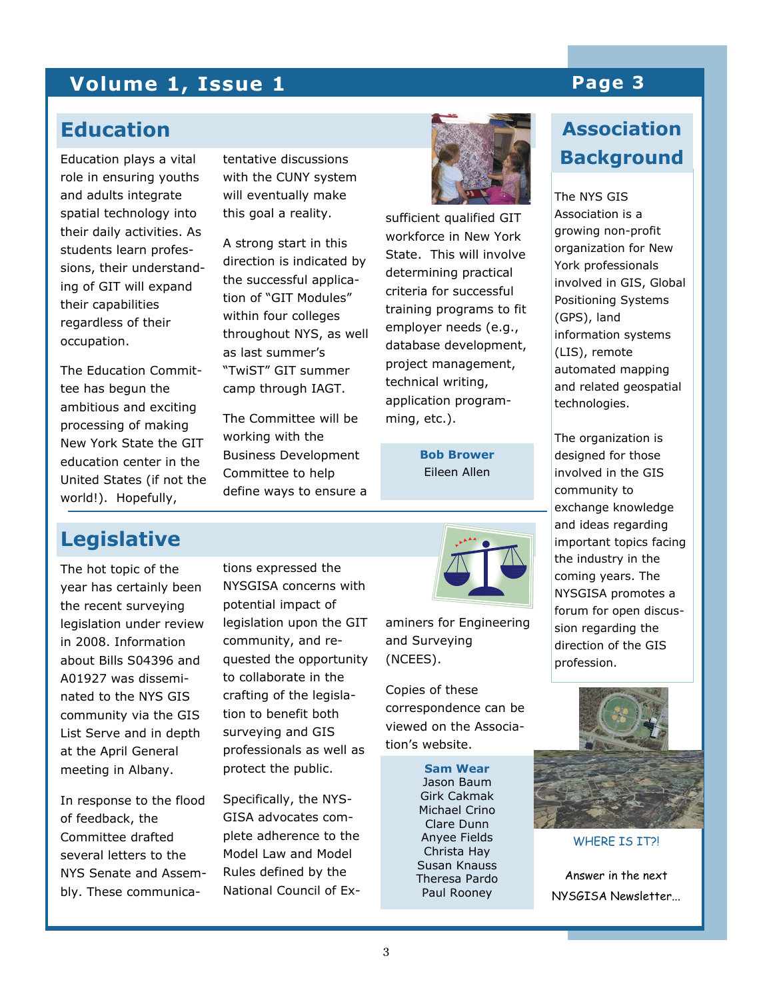# **Volume 1, Issue 1 And Page 3 According to Page 3**

# **Education**

Education plays a vital role in ensuring youths and adults integrate spatial technology into their daily activities. As students learn professions, their understanding of GIT will expand their capabilities regardless of their occupation.

The Education Committee has begun the ambitious and exciting processing of making New York State the GIT education center in the United States (if not the world!). Hopefully,

tentative discussions with the CUNY system will eventually make this goal a reality.

A strong start in this direction is indicated by the successful application of "GIT Modules" within four colleges throughout NYS, as well as last summer's "TwiST" GIT summer camp through IAGT.

The Committee will be working with the Business Development Committee to help define ways to ensure a



sufficient qualified GIT workforce in New York State. This will involve determining practical criteria for successful training programs to fit employer needs (e.g., database development, project management, technical writing, application programming, etc.).

> **Bob Brower**  Eileen Allen



# **Association Background**

The NYS GIS Association is a growing non-profit organization for New York professionals involved in GIS, Global Positioning Systems (GPS), land information systems (LIS), remote automated mapping and related geospatial technologies.

The organization is designed for those involved in the GIS community to exchange knowledge and ideas regarding important topics facing the industry in the coming years. The NYSGISA promotes a forum for open discussion regarding the direction of the GIS profession.



WHERE IS IT?!

Answer in the next NYSGISA Newsletter...

# **Legislative**

The hot topic of the year has certainly been the recent surveying legislation under review in 2008. Information about Bills S04396 and A01927 was disseminated to the NYS GIS community via the GIS List Serve and in depth at the April General meeting in Albany.

In response to the flood of feedback, the Committee drafted several letters to the NYS Senate and Assembly. These communications expressed the NYSGISA concerns with potential impact of legislation upon the GIT community, and requested the opportunity to collaborate in the crafting of the legislation to benefit both surveying and GIS professionals as well as protect the public.

Specifically, the NYS-GISA advocates complete adherence to the Model Law and Model Rules defined by the National Council of Ex-



aminers for Engineering and Surveying (NCEES).

Copies of these correspondence can be viewed on the Association's website.

> **Sam Wear**  Jason Baum Girk Cakmak Michael Crino Clare Dunn Anyee Fields Christa Hay Susan Knauss Theresa Pardo Paul Rooney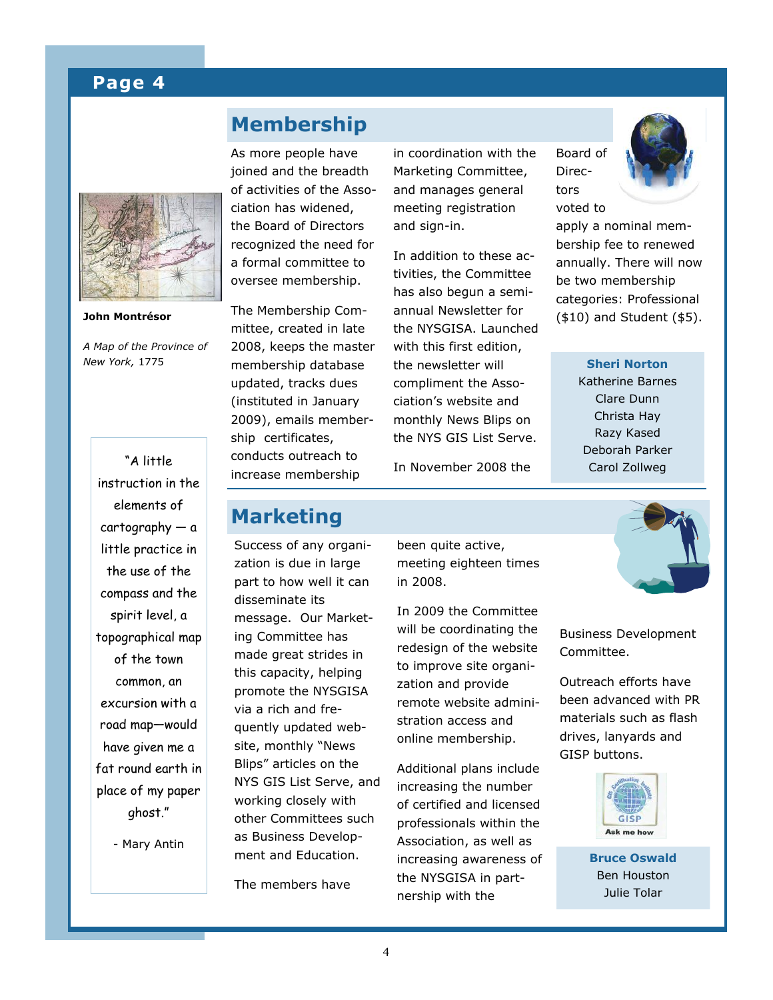## **Page 4**

# **Membership**

**John Montrésor**

*A Map of the Province of New York,* 1775

"A little instruction in the elements of cartography — a little practice in the use of the compass and the spirit level, a topographical map of the town common, an excursion with a road map—would have given me a fat round earth in place of my paper ghost."

- Mary Antin

As more people have joined and the breadth of activities of the Association has widened, the Board of Directors recognized the need for a formal committee to oversee membership.

The Membership Committee, created in late 2008, keeps the master membership database updated, tracks dues (instituted in January 2009), emails membership certificates, conducts outreach to increase membership

**Marketing** 

Success of any organization is due in large part to how well it can disseminate its message. Our Marketing Committee has made great strides in this capacity, helping promote the NYSGISA via a rich and frequently updated website, monthly "News Blips" articles on the NYS GIS List Serve, and working closely with other Committees such as Business Development and Education.

The members have

been quite active, meeting eighteen times in 2008.

In November 2008 the

in coordination with the Marketing Committee, and manages general meeting registration

In addition to these activities, the Committee has also begun a semiannual Newsletter for the NYSGISA. Launched with this first edition, the newsletter will compliment the Association's website and monthly News Blips on the NYS GIS List Serve.

and sign-in.

In 2009 the Committee will be coordinating the redesign of the website to improve site organization and provide remote website administration access and online membership.

Additional plans include increasing the number of certified and licensed professionals within the Association, as well as increasing awareness of the NYSGISA in partnership with the

Board of Directors voted to

apply a nominal membership fee to renewed annually. There will now be two membership categories: Professional (\$10) and Student (\$5).

> **Sheri Norton**  Katherine Barnes Clare Dunn Christa Hay Razy Kased Deborah Parker Carol Zollweg



Business Development Committee.

Outreach efforts have been advanced with PR materials such as flash drives, lanyards and GISP buttons.



**Bruce Oswald**  Ben Houston Julie Tolar



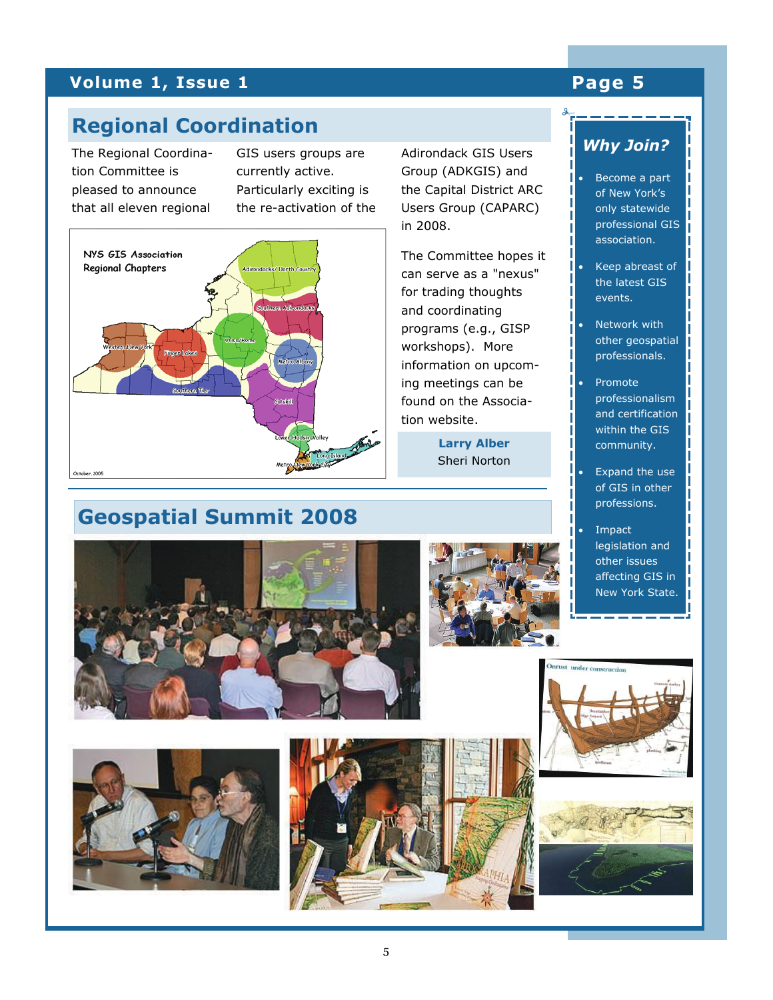# **Volume 1, Issue 1 Analyze 2 Apr 2 Apr 2 Apr 2 Apr 2 Apr 2 Apr 2 Apr 2 Apr 2 Apr 2 Apr 2 Apr 2 Apr 2 Apr 2 Apr 2 Apr 2 Apr 2 Apr 2 Apr 2 Apr 2 Apr 2 Apr 2 Apr 2 Apr 2 Apr 2 Apr 2 Apr 2 Apr 2 Apr 2 Apr 2 Apr 2 Apr 2 Apr 2 A**

# **Regional Coordination**

The Regional Coordination Committee is pleased to announce that all eleven regional

GIS users groups are currently active. Particularly exciting is the re-activation of the



Adirondack GIS Users Group (ADKGIS) and the Capital District ARC Users Group (CAPARC) in 2008.

The Committee hopes it can serve as a "nexus" for trading thoughts and coordinating programs (e.g., GISP workshops). More information on upcoming meetings can be found on the Association website.

> **Larry Alber**  Sheri Norton

# *Why Join??*

• Become a part of New York's only statewide professional GIS association.

- Keep abreast of the latest GIS events.
- Network with other geospatial professionals.
- Promote professionalism and certification within the GIS community.
- Expand the use of GIS in other professions.
- **Impact** legislation and other issues affecting GIS in New York State.











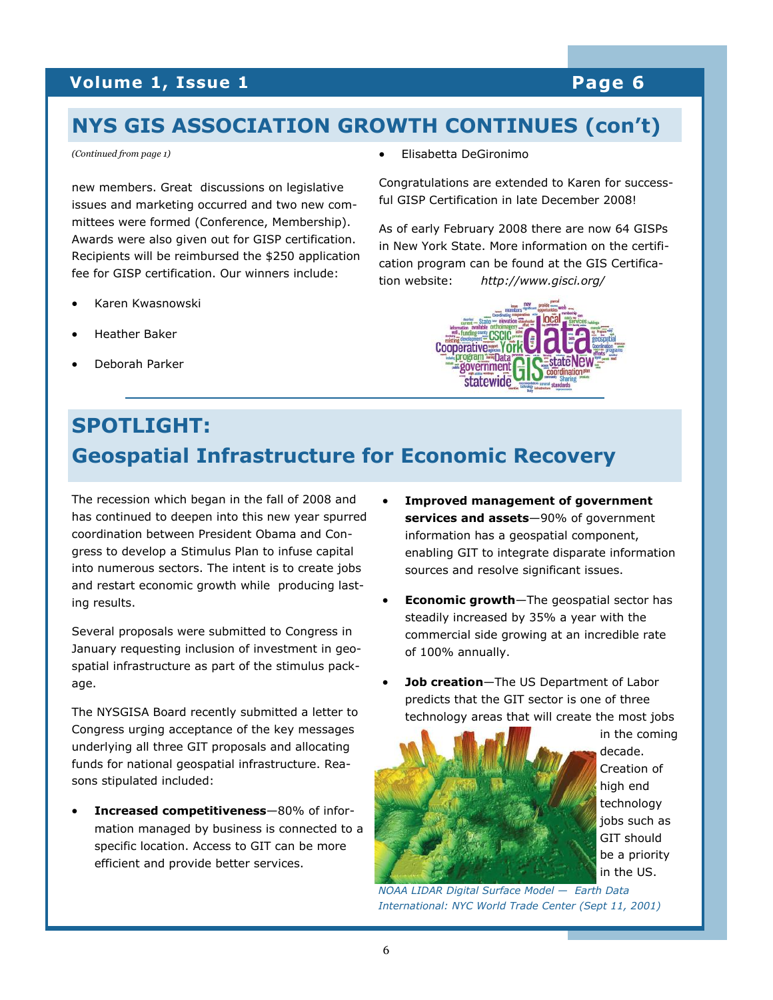# **Volume 1, Issue 1 Analyzing Contract Contract Page 6**

# **NYS GIS ASSOCIATION GROWTH CONTINUES (con't)**

### *(Continued from page 1)*

new members. Great discussions on legislative issues and marketing occurred and two new committees were formed (Conference, Membership). Awards were also given out for GISP certification. Recipients will be reimbursed the \$250 application fee for GISP certification. Our winners include:

- Karen Kwasnowski
- Heather Baker
- Deborah Parker

• Elisabetta DeGironimo

Congratulations are extended to Karen for successful GISP Certification in late December 2008!

As of early February 2008 there are now 64 GISPs in New York State. More information on the certification program can be found at the GIS Certification website: *http://www.gisci.org/* 



# **SPOTLIGHT: Geospatial Infrastructure for Economic Recovery**

The recession which began in the fall of 2008 and has continued to deepen into this new year spurred coordination between President Obama and Congress to develop a Stimulus Plan to infuse capital into numerous sectors. The intent is to create jobs and restart economic growth while producing lasting results.

Several proposals were submitted to Congress in January requesting inclusion of investment in geospatial infrastructure as part of the stimulus package.

The NYSGISA Board recently submitted a letter to Congress urging acceptance of the key messages underlying all three GIT proposals and allocating funds for national geospatial infrastructure. Reasons stipulated included:

• **Increased competitiveness**—80% of information managed by business is connected to a specific location. Access to GIT can be more efficient and provide better services.

- **Improved management of government services and assets**—90% of government information has a geospatial component, enabling GIT to integrate disparate information sources and resolve significant issues.
- **Economic growth**—The geospatial sector has steadily increased by 35% a year with the commercial side growing at an incredible rate of 100% annually.
- **Job creation**—The US Department of Labor predicts that the GIT sector is one of three technology areas that will create the most jobs



in the coming decade. Creation of high end technology jobs such as GIT should be a priority in the US.

*NOAA LIDAR Digital Surface Model — Earth Data International: NYC World Trade Center (Sept 11, 2001)*